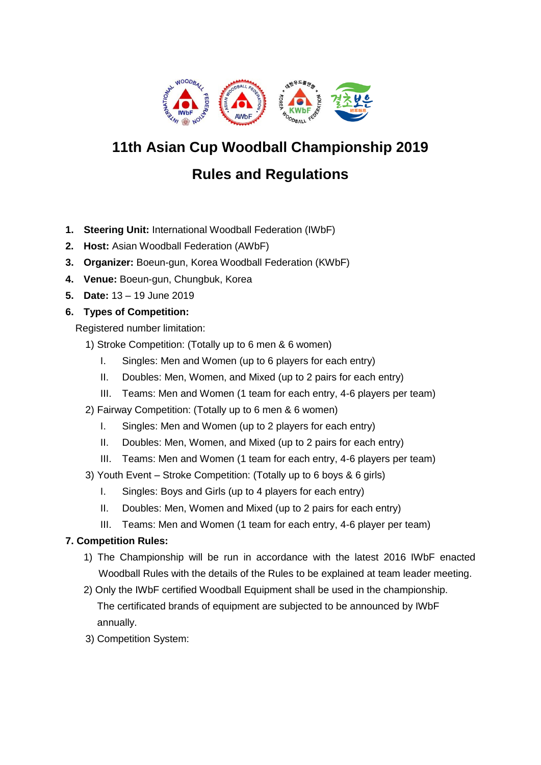

# **11th Asian Cup Woodball Championship 2019**

# **Rules and Regulations**

- **1. Steering Unit:** International Woodball Federation (IWbF)
- **2. Host:** Asian Woodball Federation (AWbF)
- **3. Organizer:** Boeun-gun, Korea Woodball Federation (KWbF)
- **4. Venue:** Boeun-gun, Chungbuk, Korea
- **5. Date:** 13 19 June 2019
- **6. Types of Competition:**

Registered number limitation:

- 1) Stroke Competition: (Totally up to 6 men & 6 women)
	- I. Singles: Men and Women (up to 6 players for each entry)
	- II. Doubles: Men, Women, and Mixed (up to 2 pairs for each entry)
	- III. Teams: Men and Women (1 team for each entry, 4-6 players per team)
- 2) Fairway Competition: (Totally up to 6 men & 6 women)
	- I. Singles: Men and Women (up to 2 players for each entry)
	- II. Doubles: Men, Women, and Mixed (up to 2 pairs for each entry)
	- III. Teams: Men and Women (1 team for each entry, 4-6 players per team)
- 3) Youth Event Stroke Competition: (Totally up to 6 boys & 6 girls)
	- I. Singles: Boys and Girls (up to 4 players for each entry)
	- II. Doubles: Men, Women and Mixed (up to 2 pairs for each entry)
	- III. Teams: Men and Women (1 team for each entry, 4-6 player per team)

# **7. Competition Rules:**

- 1) The Championship will be run in accordance with the latest 2016 IWbF enacted Woodball Rules with the details of the Rules to be explained at team leader meeting.
- 2) Only the IWbF certified Woodball Equipment shall be used in the championship. The certificated brands of equipment are subjected to be announced by IWbF annually.
- 3) Competition System: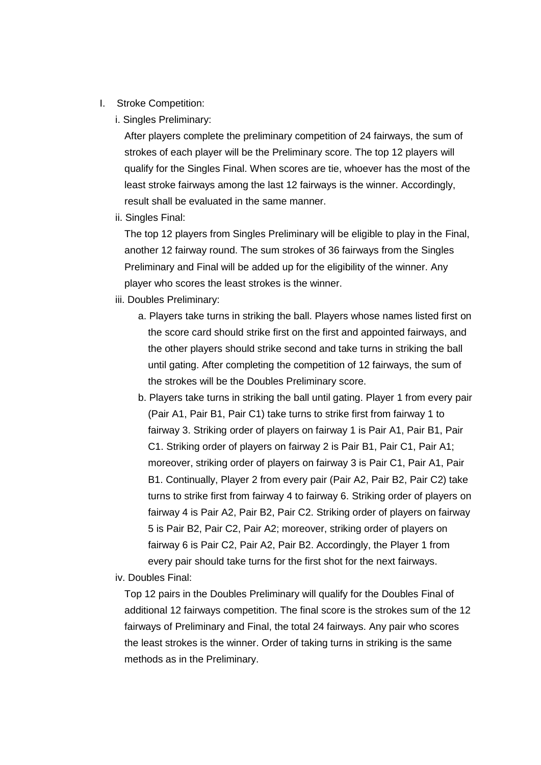- I. Stroke Competition:
	- i. Singles Preliminary:

After players complete the preliminary competition of 24 fairways, the sum of strokes of each player will be the Preliminary score. The top 12 players will qualify for the Singles Final. When scores are tie, whoever has the most of the least stroke fairways among the last 12 fairways is the winner. Accordingly, result shall be evaluated in the same manner.

ii. Singles Final:

The top 12 players from Singles Preliminary will be eligible to play in the Final, another 12 fairway round. The sum strokes of 36 fairways from the Singles Preliminary and Final will be added up for the eligibility of the winner. Any player who scores the least strokes is the winner.

#### iii. Doubles Preliminary:

- a. Players take turns in striking the ball. Players whose names listed first on the score card should strike first on the first and appointed fairways, and the other players should strike second and take turns in striking the ball until gating. After completing the competition of 12 fairways, the sum of the strokes will be the Doubles Preliminary score.
- b. Players take turns in striking the ball until gating. Player 1 from every pair (Pair A1, Pair B1, Pair C1) take turns to strike first from fairway 1 to fairway 3. Striking order of players on fairway 1 is Pair A1, Pair B1, Pair C1. Striking order of players on fairway 2 is Pair B1, Pair C1, Pair A1; moreover, striking order of players on fairway 3 is Pair C1, Pair A1, Pair B1. Continually, Player 2 from every pair (Pair A2, Pair B2, Pair C2) take turns to strike first from fairway 4 to fairway 6. Striking order of players on fairway 4 is Pair A2, Pair B2, Pair C2. Striking order of players on fairway 5 is Pair B2, Pair C2, Pair A2; moreover, striking order of players on fairway 6 is Pair C2, Pair A2, Pair B2. Accordingly, the Player 1 from every pair should take turns for the first shot for the next fairways.

#### iv. Doubles Final:

Top 12 pairs in the Doubles Preliminary will qualify for the Doubles Final of additional 12 fairways competition. The final score is the strokes sum of the 12 fairways of Preliminary and Final, the total 24 fairways. Any pair who scores the least strokes is the winner. Order of taking turns in striking is the same methods as in the Preliminary.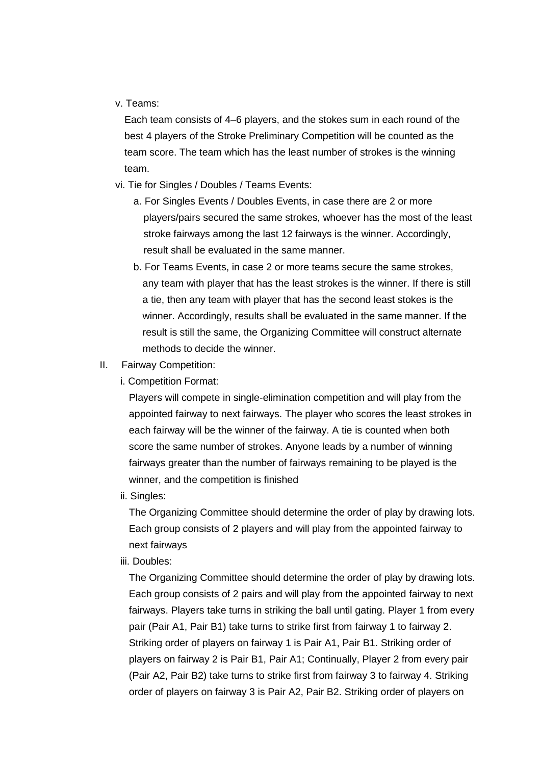#### v. Teams:

Each team consists of 4–6 players, and the stokes sum in each round of the best 4 players of the Stroke Preliminary Competition will be counted as the team score. The team which has the least number of strokes is the winning team.

- vi. Tie for Singles / Doubles / Teams Events:
	- a. For Singles Events / Doubles Events, in case there are 2 or more players/pairs secured the same strokes, whoever has the most of the least stroke fairways among the last 12 fairways is the winner. Accordingly, result shall be evaluated in the same manner.
	- b. For Teams Events, in case 2 or more teams secure the same strokes, any team with player that has the least strokes is the winner. If there is still a tie, then any team with player that has the second least stokes is the winner. Accordingly, results shall be evaluated in the same manner. If the result is still the same, the Organizing Committee will construct alternate methods to decide the winner.
- II. Fairway Competition:
	- i. Competition Format:

Players will compete in single-elimination competition and will play from the appointed fairway to next fairways. The player who scores the least strokes in each fairway will be the winner of the fairway. A tie is counted when both score the same number of strokes. Anyone leads by a number of winning fairways greater than the number of fairways remaining to be played is the winner, and the competition is finished

ii. Singles:

The Organizing Committee should determine the order of play by drawing lots. Each group consists of 2 players and will play from the appointed fairway to next fairways

iii. Doubles:

The Organizing Committee should determine the order of play by drawing lots. Each group consists of 2 pairs and will play from the appointed fairway to next fairways. Players take turns in striking the ball until gating. Player 1 from every pair (Pair A1, Pair B1) take turns to strike first from fairway 1 to fairway 2. Striking order of players on fairway 1 is Pair A1, Pair B1. Striking order of players on fairway 2 is Pair B1, Pair A1; Continually, Player 2 from every pair (Pair A2, Pair B2) take turns to strike first from fairway 3 to fairway 4. Striking order of players on fairway 3 is Pair A2, Pair B2. Striking order of players on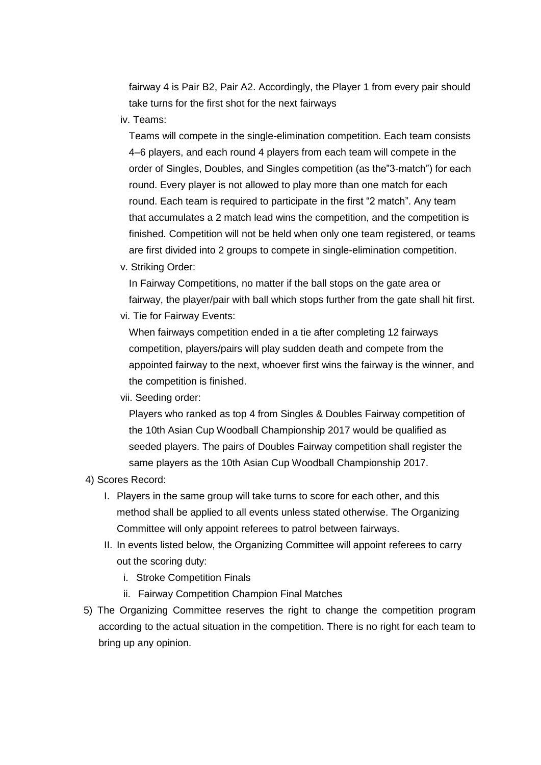fairway 4 is Pair B2, Pair A2. Accordingly, the Player 1 from every pair should take turns for the first shot for the next fairways

iv. Teams:

Teams will compete in the single-elimination competition. Each team consists 4–6 players, and each round 4 players from each team will compete in the order of Singles, Doubles, and Singles competition (as the"3-match") for each round. Every player is not allowed to play more than one match for each round. Each team is required to participate in the first "2 match". Any team that accumulates a 2 match lead wins the competition, and the competition is finished. Competition will not be held when only one team registered, or teams are first divided into 2 groups to compete in single-elimination competition.

v. Striking Order:

In Fairway Competitions, no matter if the ball stops on the gate area or fairway, the player/pair with ball which stops further from the gate shall hit first.

vi. Tie for Fairway Events:

When fairways competition ended in a tie after completing 12 fairways competition, players/pairs will play sudden death and compete from the appointed fairway to the next, whoever first wins the fairway is the winner, and the competition is finished.

#### vii. Seeding order:

Players who ranked as top 4 from Singles & Doubles Fairway competition of the 10th Asian Cup Woodball Championship 2017 would be qualified as seeded players. The pairs of Doubles Fairway competition shall register the same players as the 10th Asian Cup Woodball Championship 2017.

#### 4) Scores Record:

- I. Players in the same group will take turns to score for each other, and this method shall be applied to all events unless stated otherwise. The Organizing Committee will only appoint referees to patrol between fairways.
- II. In events listed below, the Organizing Committee will appoint referees to carry out the scoring duty:
	- i. Stroke Competition Finals
	- ii. Fairway Competition Champion Final Matches
- 5) The Organizing Committee reserves the right to change the competition program according to the actual situation in the competition. There is no right for each team to bring up any opinion.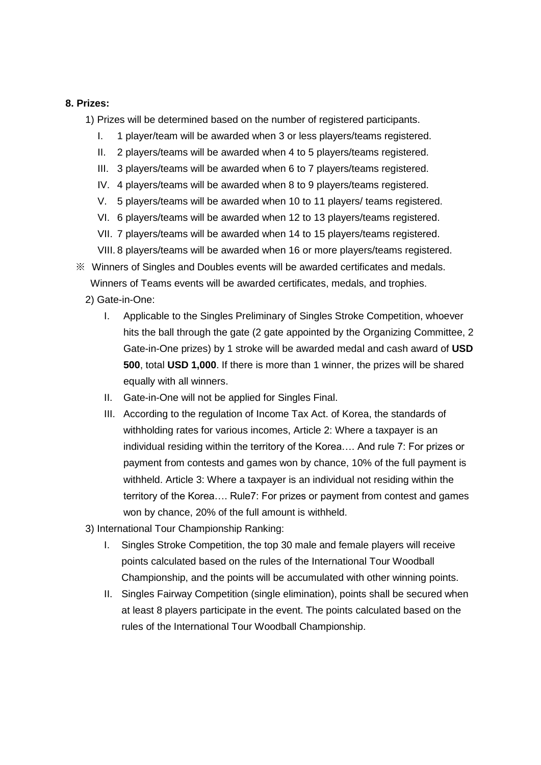#### **8. Prizes:**

1) Prizes will be determined based on the number of registered participants.

- I. 1 player/team will be awarded when 3 or less players/teams registered.
- II. 2 players/teams will be awarded when 4 to 5 players/teams registered.
- III. 3 players/teams will be awarded when 6 to 7 players/teams registered.
- IV. 4 players/teams will be awarded when 8 to 9 players/teams registered.
- V. 5 players/teams will be awarded when 10 to 11 players/ teams registered.
- VI. 6 players/teams will be awarded when 12 to 13 players/teams registered.
- VII. 7 players/teams will be awarded when 14 to 15 players/teams registered.
- VIII. 8 players/teams will be awarded when 16 or more players/teams registered.
- ※ Winners of Singles and Doubles events will be awarded certificates and medals. Winners of Teams events will be awarded certificates, medals, and trophies.
	- 2) Gate-in-One:
		- I. Applicable to the Singles Preliminary of Singles Stroke Competition, whoever hits the ball through the gate (2 gate appointed by the Organizing Committee, 2 Gate-in-One prizes) by 1 stroke will be awarded medal and cash award of **USD 500**, total **USD 1,000**. If there is more than 1 winner, the prizes will be shared equally with all winners.
		- II. Gate-in-One will not be applied for Singles Final.
		- III. According to the regulation of Income Tax Act. of Korea, the standards of withholding rates for various incomes, Article 2: Where a taxpayer is an individual residing within the territory of the Korea…. And rule 7: For prizes or payment from contests and games won by chance, 10% of the full payment is withheld. Article 3: Where a taxpayer is an individual not residing within the territory of the Korea…. Rule7: For prizes or payment from contest and games won by chance, 20% of the full amount is withheld.
	- 3) International Tour Championship Ranking:
		- I. Singles Stroke Competition, the top 30 male and female players will receive points calculated based on the rules of the International Tour Woodball Championship, and the points will be accumulated with other winning points.
		- II. Singles Fairway Competition (single elimination), points shall be secured when at least 8 players participate in the event. The points calculated based on the rules of the International Tour Woodball Championship.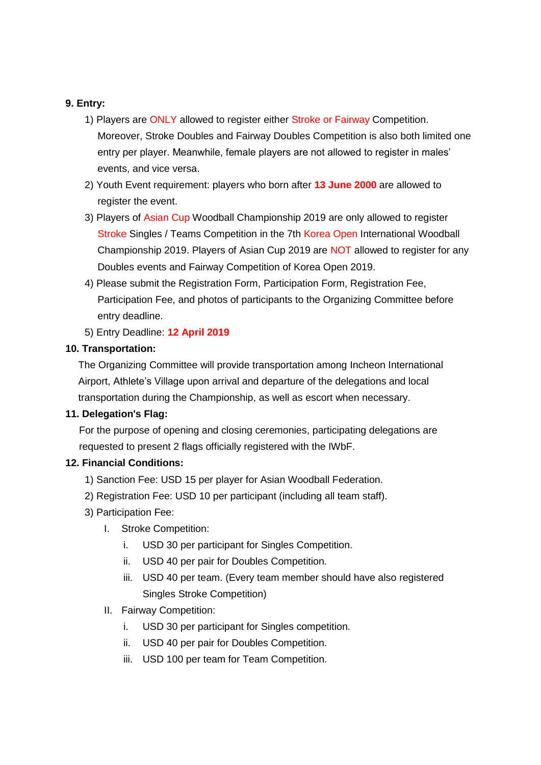#### **9. Entry:**

- 1) Players are ONLY allowed to register either Stroke or Fairway Competition. Moreover, Stroke Doubles and Fairway Doubles Competition is also both limited one entry per player. Meanwhile, female players are not allowed to register in males' events, and vice versa.
- 2) Youth Event requirement: players who born after **13 June 2000** are allowed to register the event.
- 3) Players of Asian Cup Woodball Championship 2019 are only allowed to register Stroke Singles / Teams Competition in the 7th Korea Open International Woodball Championship 2019. Players of Asian Cup 2019 are NOT allowed to register for any Doubles events and Fairway Competition of Korea Open 2019.
- 4) Please submit the Registration Form, Participation Form, Registration Fee, Participation Fee, and photos of participants to the Organizing Committee before entry deadline.
- 5) Entry Deadline: **12 April 2019**

## **10. Transportation:**

The Organizing Committee will provide transportation among Incheon International Airport, Athlete's Village upon arrival and departure of the delegations and local transportation during the Championship, as well as escort when necessary.

#### **11. Delegation's Flag:**

For the purpose of opening and closing ceremonies, participating delegations are requested to present 2 flags officially registered with the IWbF.

# **12. Financial Conditions:**

- 1) Sanction Fee: USD 15 per player for Asian Woodball Federation.
- 2) Registration Fee: USD 10 per participant (including all team staff).
- 3) Participation Fee:
	- I. Stroke Competition:
		- i. USD 30 per participant for Singles Competition.
		- ii. USD 40 per pair for Doubles Competition.
		- iii. USD 40 per team. (Every team member should have also registered Singles Stroke Competition)

#### II. Fairway Competition:

- i. USD 30 per participant for Singles competition.
- ii. USD 40 per pair for Doubles Competition.
- iii. USD 100 per team for Team Competition.